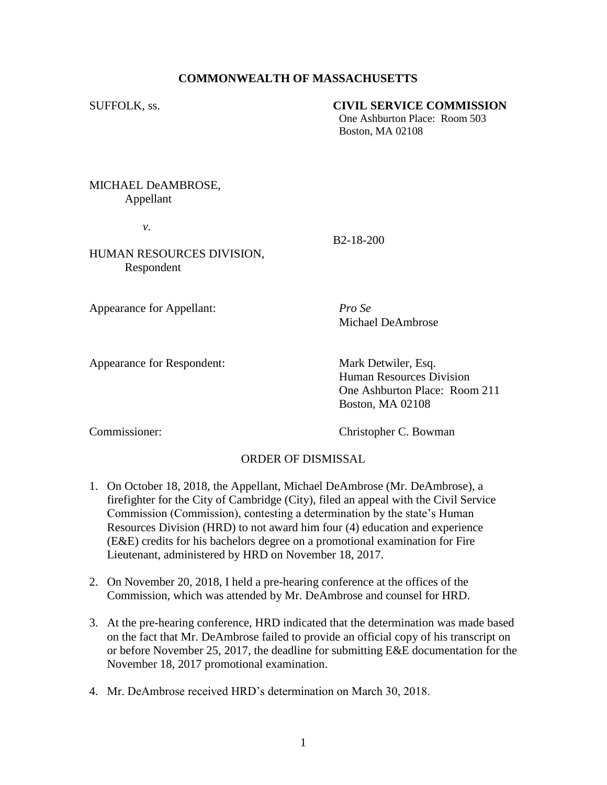## **COMMONWEALTH OF MASSACHUSETTS**

## SUFFOLK, ss. **CIVIL SERVICE COMMISSION**

One Ashburton Place: Room 503 Boston, MA 02108

MICHAEL DeAMBROSE, Appellant

*v.*

B2-18-200

## HUMAN RESOURCES DIVISION, Respondent

Appearance for Appellant: *Pro Se*

Michael DeAmbrose

Appearance for Respondent: Mark Detwiler, Esq.

Human Resources Division One Ashburton Place: Room 211 Boston, MA 02108

Commissioner: Christopher C. Bowman

## ORDER OF DISMISSAL

- 1. On October 18, 2018, the Appellant, Michael DeAmbrose (Mr. DeAmbrose), a firefighter for the City of Cambridge (City), filed an appeal with the Civil Service Commission (Commission), contesting a determination by the state's Human Resources Division (HRD) to not award him four (4) education and experience (E&E) credits for his bachelors degree on a promotional examination for Fire Lieutenant, administered by HRD on November 18, 2017.
- 2. On November 20, 2018, I held a pre-hearing conference at the offices of the Commission, which was attended by Mr. DeAmbrose and counsel for HRD.
- 3. At the pre-hearing conference, HRD indicated that the determination was made based on the fact that Mr. DeAmbrose failed to provide an official copy of his transcript on or before November 25, 2017, the deadline for submitting E&E documentation for the November 18, 2017 promotional examination.
- 4. Mr. DeAmbrose received HRD's determination on March 30, 2018.